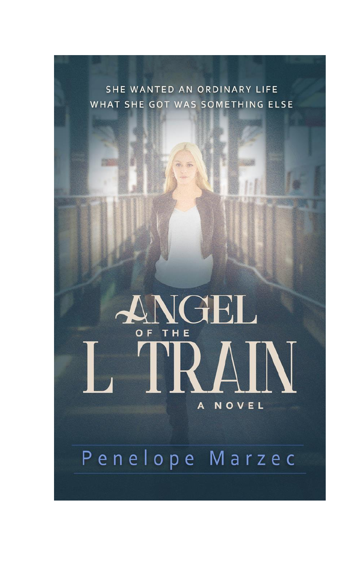SHE WANTED AN ORDINARY LIFE WHAT SHE GOT WAS SOMETHING ELSE

## NGEL D OF THE  $\blacksquare$ NOVEL  $\mathbf{A}$

# Penelope Marzec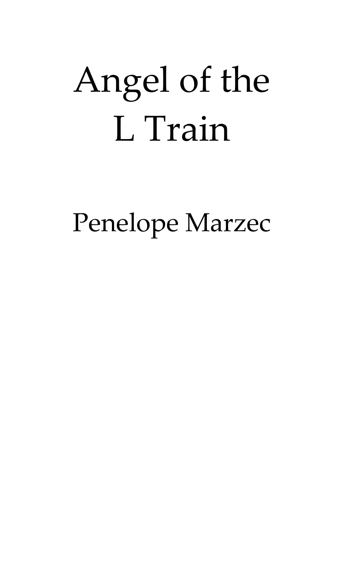# Angel of the L Train

Penelope Marzec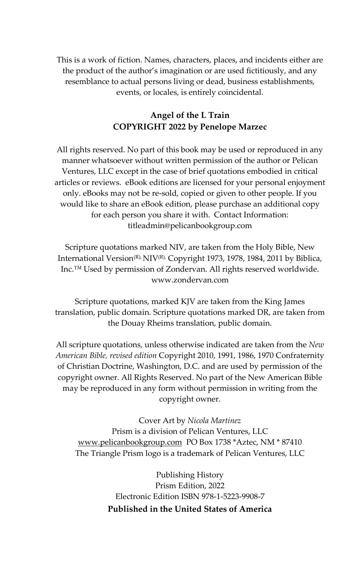This is a work of fiction. Names, characters, places, and incidents either are the product of the author's imagination or are used fictitiously, and any resemblance to actual persons living or dead, business establishments, events, or locales, is entirely coincidental.

#### **Angel of the L Train COPYRIGHT 2022 by Penelope Marzec**

All rights reserved. No part of this book may be used or reproduced in any manner whatsoever without written permission of the author or Pelican Ventures, LLC except in the case of brief quotations embodied in critical articles or reviews. eBook editions are licensed for your personal enjoyment only. eBooks may not be re-sold, copied or given to other people. If you would like to share an eBook edition, please purchase an additional copy for each person you share it with. Contact Information: titleadmin@pelicanbookgroup.com

Scripture quotations marked NIV, are taken from the Holy Bible, New International Version<sup>(R),</sup> NIV<sup>(R),</sup> Copyright 1973, 1978, 1984, 2011 by Biblica, Inc.™ Used by permission of Zondervan. All rights reserved worldwide. www.zondervan.com

Scripture quotations, marked KJV are taken from the King James translation, public domain. Scripture quotations marked DR, are taken from the Douay Rheims translation, public domain.

All scripture quotations, unless otherwise indicated are taken from the *New American Bible, revised edition* Copyright 2010, 1991, 1986, 1970 Confraternity of Christian Doctrine, Washington, D.C. and are used by permission of the copyright owner. All Rights Reserved. No part of the New American Bible may be reproduced in any form without permission in writing from the copyright owner.

Cover Art by *Nicola Martinez* Prism is a division of Pelican Ventures, LLC [www.pelicanbookgroup.com](http://www.pelicanbookgroup.com/) PO Box 1738 \*Aztec, NM \* 87410 The Triangle Prism logo is a trademark of Pelican Ventures, LLC

> Publishing History Prism Edition, 2022 Electronic Edition ISBN 978-1-5223-9908-7 **Published in the United States of America**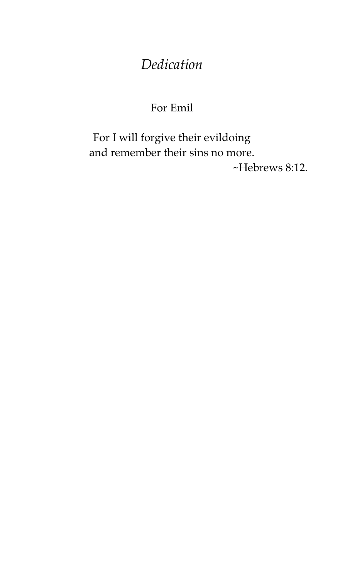## *Dedication*

### For Emil

For I will forgive their evildoing and remember their sins no more. ~Hebrews 8:12.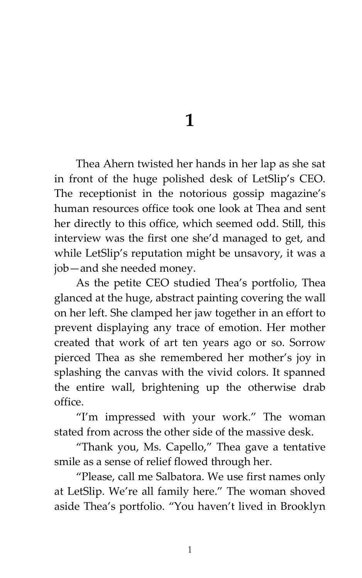**1**

Thea Ahern twisted her hands in her lap as she sat in front of the huge polished desk of LetSlip's CEO. The receptionist in the notorious gossip magazine's human resources office took one look at Thea and sent her directly to this office, which seemed odd. Still, this interview was the first one she'd managed to get, and while LetSlip's reputation might be unsavory, it was a job—and she needed money.

As the petite CEO studied Thea's portfolio, Thea glanced at the huge, abstract painting covering the wall on her left. She clamped her jaw together in an effort to prevent displaying any trace of emotion. Her mother created that work of art ten years ago or so. Sorrow pierced Thea as she remembered her mother's joy in splashing the canvas with the vivid colors. It spanned the entire wall, brightening up the otherwise drab office.

'I'm impressed with your work.' The woman stated from across the other side of the massive desk.

'Thank you, Ms. Capello,' Thea gave a tentative smile as a sense of relief flowed through her.

'Please, call me Salbatora. We use first names only at LetSlip. We're all family here.' The woman shoved aside Thea's portfolio. 'You haven't lived in Brooklyn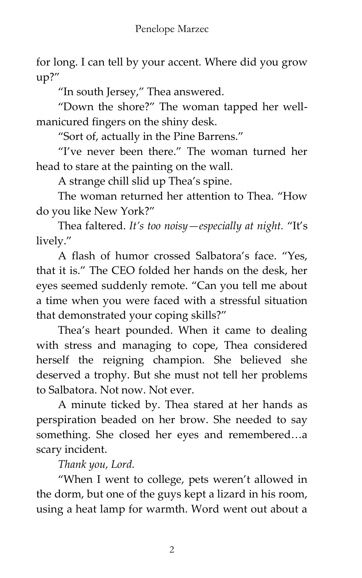for long. I can tell by your accent. Where did you grow up?'

"In south Jersey," Thea answered.

'Down the shore?' The woman tapped her wellmanicured fingers on the shiny desk.

'Sort of, actually in the Pine Barrens.'

'I've never been there.' The woman turned her head to stare at the painting on the wall.

A strange chill slid up Thea's spine.

The woman returned her attention to Thea. 'How do you like New York?'

Thea faltered. *It's too noisy—especially at night.* 'It's lively.'

A flash of humor crossed Salbatora's face. 'Yes, that it is.' The CEO folded her hands on the desk, her eyes seemed suddenly remote. 'Can you tell me about a time when you were faced with a stressful situation that demonstrated your coping skills?'

Thea's heart pounded. When it came to dealing with stress and managing to cope, Thea considered herself the reigning champion. She believed she deserved a trophy. But she must not tell her problems to Salbatora. Not now. Not ever.

A minute ticked by. Thea stared at her hands as perspiration beaded on her brow. She needed to say something. She closed her eyes and remembered…a scary incident.

*Thank you, Lord.*

'When I went to college, pets weren't allowed in the dorm, but one of the guys kept a lizard in his room, using a heat lamp for warmth. Word went out about a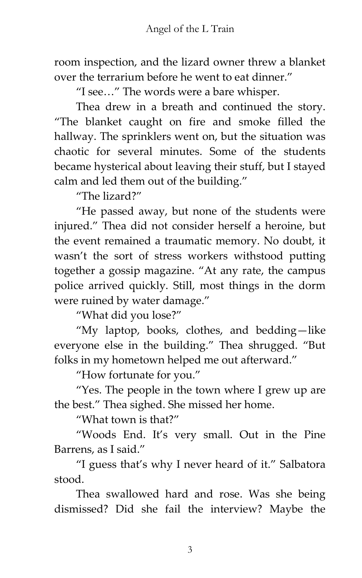room inspection, and the lizard owner threw a blanket over the terrarium before he went to eat dinner.'

'I see…' The words were a bare whisper.

Thea drew in a breath and continued the story. 'The blanket caught on fire and smoke filled the hallway. The sprinklers went on, but the situation was chaotic for several minutes. Some of the students became hysterical about leaving their stuff, but I stayed calm and led them out of the building.'

'The lizard?'

'He passed away, but none of the students were injured.' Thea did not consider herself a heroine, but the event remained a traumatic memory. No doubt, it wasn't the sort of stress workers withstood putting together a gossip magazine. 'At any rate, the campus police arrived quickly. Still, most things in the dorm were ruined by water damage.'

'What did you lose?'

'My laptop, books, clothes, and bedding—like everyone else in the building.' Thea shrugged. 'But folks in my hometown helped me out afterward.'

'How fortunate for you.'

'Yes. The people in the town where I grew up are the best.' Thea sighed. She missed her home.

'What town is that?'

'Woods End. It's very small. Out in the Pine Barrens, as I said.'

'I guess that's why I never heard of it.' Salbatora stood.

Thea swallowed hard and rose. Was she being dismissed? Did she fail the interview? Maybe the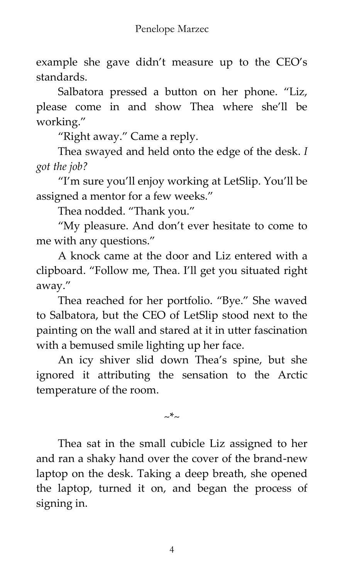example she gave didn't measure up to the CEO's standards.

Salbatora pressed a button on her phone. 'Liz, please come in and show Thea where she'll be working.'

'Right away.' Came a reply.

Thea swayed and held onto the edge of the desk. *I got the job?*

'I'm sure you'll enjoy working at LetSlip. You'll be assigned a mentor for a few weeks.'

Thea nodded. 'Thank you.'

'My pleasure. And don't ever hesitate to come to me with any questions.'

A knock came at the door and Liz entered with a clipboard. 'Follow me, Thea. I'll get you situated right away.'

Thea reached for her portfolio. 'Bye.' She waved to Salbatora, but the CEO of LetSlip stood next to the painting on the wall and stared at it in utter fascination with a bemused smile lighting up her face.

An icy shiver slid down Thea's spine, but she ignored it attributing the sensation to the Arctic temperature of the room.

 $\sim^*$ ~

Thea sat in the small cubicle Liz assigned to her and ran a shaky hand over the cover of the brand-new laptop on the desk. Taking a deep breath, she opened the laptop, turned it on, and began the process of signing in.

4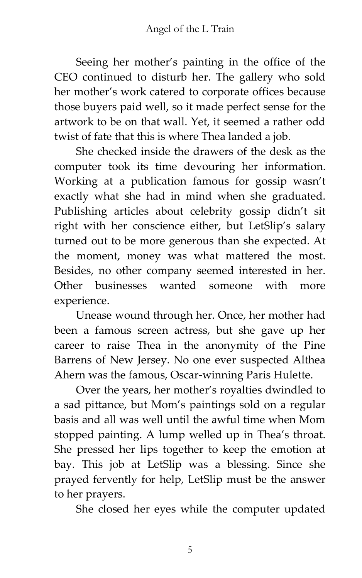Seeing her mother's painting in the office of the CEO continued to disturb her. The gallery who sold her mother's work catered to corporate offices because those buyers paid well, so it made perfect sense for the artwork to be on that wall. Yet, it seemed a rather odd twist of fate that this is where Thea landed a job.

She checked inside the drawers of the desk as the computer took its time devouring her information. Working at a publication famous for gossip wasn't exactly what she had in mind when she graduated. Publishing articles about celebrity gossip didn't sit right with her conscience either, but LetSlip's salary turned out to be more generous than she expected. At the moment, money was what mattered the most. Besides, no other company seemed interested in her. Other businesses wanted someone with more experience.

Unease wound through her. Once, her mother had been a famous screen actress, but she gave up her career to raise Thea in the anonymity of the Pine Barrens of New Jersey. No one ever suspected Althea Ahern was the famous, Oscar-winning Paris Hulette.

Over the years, her mother's royalties dwindled to a sad pittance, but Mom's paintings sold on a regular basis and all was well until the awful time when Mom stopped painting. A lump welled up in Thea's throat. She pressed her lips together to keep the emotion at bay. This job at LetSlip was a blessing. Since she prayed fervently for help, LetSlip must be the answer to her prayers.

She closed her eyes while the computer updated

5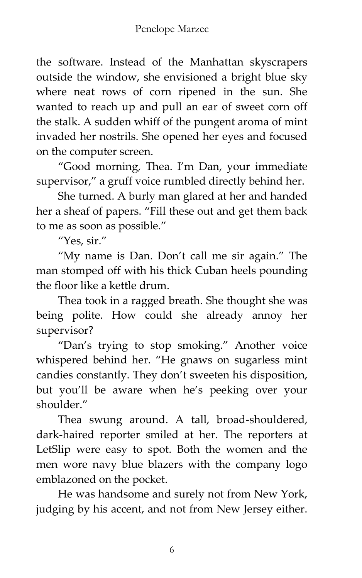the software. Instead of the Manhattan skyscrapers outside the window, she envisioned a bright blue sky where neat rows of corn ripened in the sun. She wanted to reach up and pull an ear of sweet corn off the stalk. A sudden whiff of the pungent aroma of mint invaded her nostrils. She opened her eyes and focused on the computer screen.

'Good morning, Thea. I'm Dan, your immediate supervisor," a gruff voice rumbled directly behind her.

She turned. A burly man glared at her and handed her a sheaf of papers. 'Fill these out and get them back to me as soon as possible.'

'Yes, sir.'

'My name is Dan. Don't call me sir again.' The man stomped off with his thick Cuban heels pounding the floor like a kettle drum.

Thea took in a ragged breath. She thought she was being polite. How could she already annoy her supervisor?

'Dan's trying to stop smoking.' Another voice whispered behind her. 'He gnaws on sugarless mint candies constantly. They don't sweeten his disposition, but you'll be aware when he's peeking over your shoulder."

Thea swung around. A tall, broad-shouldered, dark-haired reporter smiled at her. The reporters at LetSlip were easy to spot. Both the women and the men wore navy blue blazers with the company logo emblazoned on the pocket.

He was handsome and surely not from New York, judging by his accent, and not from New Jersey either.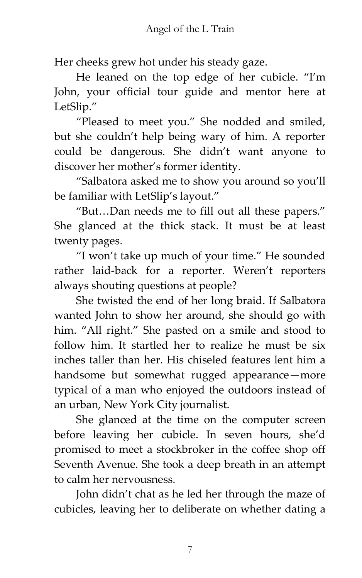Her cheeks grew hot under his steady gaze.

He leaned on the top edge of her cubicle. 'I'm John, your official tour guide and mentor here at LetSlip.'

'Pleased to meet you.' She nodded and smiled, but she couldn't help being wary of him. A reporter could be dangerous. She didn't want anyone to discover her mother's former identity.

'Salbatora asked me to show you around so you'll be familiar with LetSlip's layout.'

'But…Dan needs me to fill out all these papers.' She glanced at the thick stack. It must be at least twenty pages.

'I won't take up much of your time.' He sounded rather laid-back for a reporter. Weren't reporters always shouting questions at people?

She twisted the end of her long braid. If Salbatora wanted John to show her around, she should go with him. 'All right.' She pasted on a smile and stood to follow him. It startled her to realize he must be six inches taller than her. His chiseled features lent him a handsome but somewhat rugged appearance—more typical of a man who enjoyed the outdoors instead of an urban, New York City journalist.

She glanced at the time on the computer screen before leaving her cubicle. In seven hours, she'd promised to meet a stockbroker in the coffee shop off Seventh Avenue. She took a deep breath in an attempt to calm her nervousness.

John didn't chat as he led her through the maze of cubicles, leaving her to deliberate on whether dating a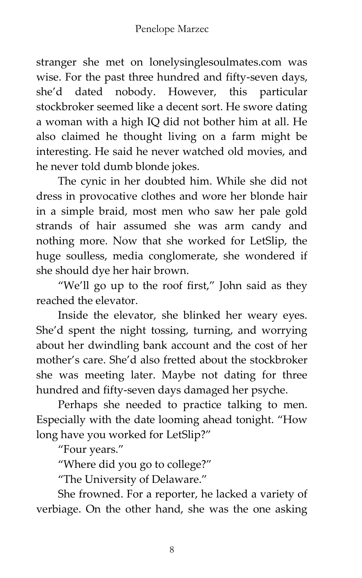stranger she met on lonelysinglesoulmates.com was wise. For the past three hundred and fifty-seven days, she'd dated nobody. However, this particular stockbroker seemed like a decent sort. He swore dating a woman with a high IQ did not bother him at all. He also claimed he thought living on a farm might be interesting. He said he never watched old movies, and he never told dumb blonde jokes.

The cynic in her doubted him. While she did not dress in provocative clothes and wore her blonde hair in a simple braid, most men who saw her pale gold strands of hair assumed she was arm candy and nothing more. Now that she worked for LetSlip, the huge soulless, media conglomerate, she wondered if she should dye her hair brown.

'We'll go up to the roof first,' John said as they reached the elevator.

Inside the elevator, she blinked her weary eyes. She'd spent the night tossing, turning, and worrying about her dwindling bank account and the cost of her mother's care. She'd also fretted about the stockbroker she was meeting later. Maybe not dating for three hundred and fifty-seven days damaged her psyche.

Perhaps she needed to practice talking to men. Especially with the date looming ahead tonight. 'How long have you worked for LetSlip?"

'Four years.'

'Where did you go to college?'

'The University of Delaware.'

She frowned. For a reporter, he lacked a variety of verbiage. On the other hand, she was the one asking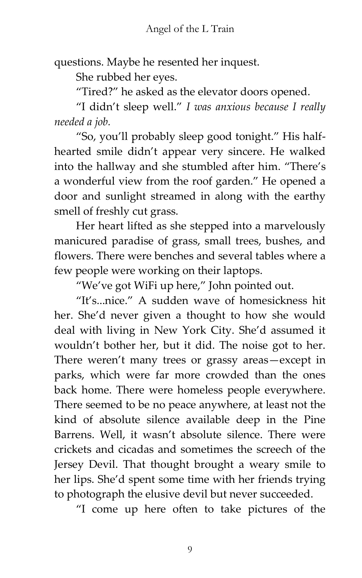questions. Maybe he resented her inquest.

She rubbed her eyes.

'Tired?' he asked as the elevator doors opened.

'I didn't sleep well.' *I was anxious because I really needed a job.*

'So, you'll probably sleep good tonight.' His halfhearted smile didn't appear very sincere. He walked into the hallway and she stumbled after him. 'There's a wonderful view from the roof garden.' He opened a door and sunlight streamed in along with the earthy smell of freshly cut grass.

Her heart lifted as she stepped into a marvelously manicured paradise of grass, small trees, bushes, and flowers. There were benches and several tables where a few people were working on their laptops.

'We've got WiFi up here,' John pointed out.

'It's...nice.' A sudden wave of homesickness hit her. She'd never given a thought to how she would deal with living in New York City. She'd assumed it wouldn't bother her, but it did. The noise got to her. There weren't many trees or grassy areas—except in parks, which were far more crowded than the ones back home. There were homeless people everywhere. There seemed to be no peace anywhere, at least not the kind of absolute silence available deep in the Pine Barrens. Well, it wasn't absolute silence. There were crickets and cicadas and sometimes the screech of the Jersey Devil. That thought brought a weary smile to her lips. She'd spent some time with her friends trying to photograph the elusive devil but never succeeded.

'I come up here often to take pictures of the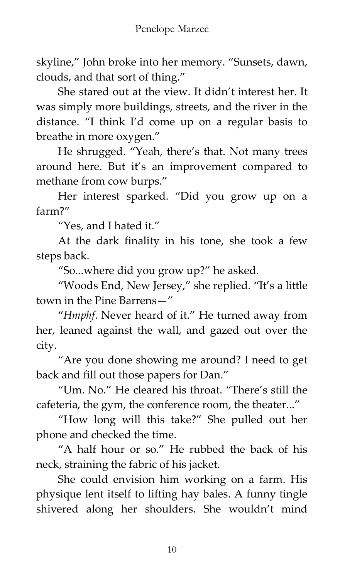skyline,' John broke into her memory. 'Sunsets, dawn, clouds, and that sort of thing.'

She stared out at the view. It didn't interest her. It was simply more buildings, streets, and the river in the distance. 'I think I'd come up on a regular basis to breathe in more oxygen.'

He shrugged. 'Yeah, there's that. Not many trees around here. But it's an improvement compared to methane from cow burps.'

Her interest sparked. 'Did you grow up on a farm?'

'Yes, and I hated it.'

At the dark finality in his tone, she took a few steps back.

'So...where did you grow up?' he asked.

'Woods End, New Jersey,' she replied. 'It's a little town in the Pine Barrens—'

'*Hmphf*. Never heard of it.' He turned away from her, leaned against the wall, and gazed out over the city.

'Are you done showing me around? I need to get back and fill out those papers for Dan.'

'Um. No.' He cleared his throat. 'There's still the cafeteria, the gym, the conference room, the theater...'

'How long will this take?' She pulled out her phone and checked the time.

'A half hour or so.' He rubbed the back of his neck, straining the fabric of his jacket.

She could envision him working on a farm. His physique lent itself to lifting hay bales. A funny tingle shivered along her shoulders. She wouldn't mind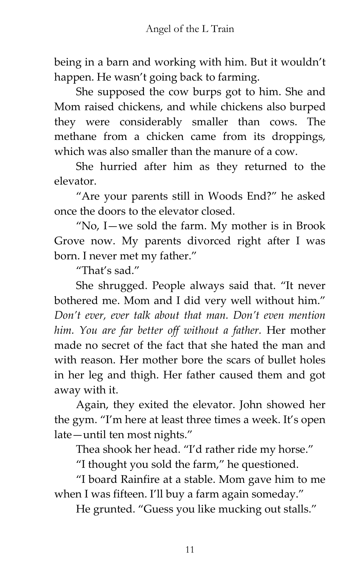being in a barn and working with him. But it wouldn't happen. He wasn't going back to farming.

She supposed the cow burps got to him. She and Mom raised chickens, and while chickens also burped they were considerably smaller than cows. The methane from a chicken came from its droppings, which was also smaller than the manure of a cow.

She hurried after him as they returned to the elevator.

'Are your parents still in Woods End?' he asked once the doors to the elevator closed.

'No, I—we sold the farm. My mother is in Brook Grove now. My parents divorced right after I was born. I never met my father.'

"That's sad."

She shrugged. People always said that. 'It never bothered me. Mom and I did very well without him.' *Don't ever, ever talk about that man. Don't even mention him. You are far better off without a father.* Her mother made no secret of the fact that she hated the man and with reason. Her mother bore the scars of bullet holes in her leg and thigh. Her father caused them and got away with it.

Again, they exited the elevator. John showed her the gym. 'I'm here at least three times a week. It's open late—until ten most nights.'

Thea shook her head. "I'd rather ride my horse."

'I thought you sold the farm,' he questioned.

'I board Rainfire at a stable. Mom gave him to me when I was fifteen. I'll buy a farm again someday."

He grunted. "Guess you like mucking out stalls."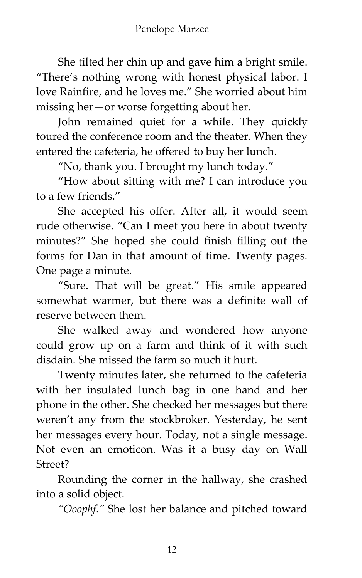She tilted her chin up and gave him a bright smile. 'There's nothing wrong with honest physical labor. I love Rainfire, and he loves me.' She worried about him missing her—or worse forgetting about her.

John remained quiet for a while. They quickly toured the conference room and the theater. When they entered the cafeteria, he offered to buy her lunch.

'No, thank you. I brought my lunch today.'

'How about sitting with me? I can introduce you to a few friends.'

She accepted his offer. After all, it would seem rude otherwise. 'Can I meet you here in about twenty minutes?' She hoped she could finish filling out the forms for Dan in that amount of time. Twenty pages. One page a minute.

'Sure. That will be great.' His smile appeared somewhat warmer, but there was a definite wall of reserve between them.

She walked away and wondered how anyone could grow up on a farm and think of it with such disdain. She missed the farm so much it hurt.

Twenty minutes later, she returned to the cafeteria with her insulated lunch bag in one hand and her phone in the other. She checked her messages but there weren't any from the stockbroker. Yesterday, he sent her messages every hour. Today, not a single message. Not even an emoticon. Was it a busy day on Wall Street?

Rounding the corner in the hallway, she crashed into a solid object.

*"Ooophf."* She lost her balance and pitched toward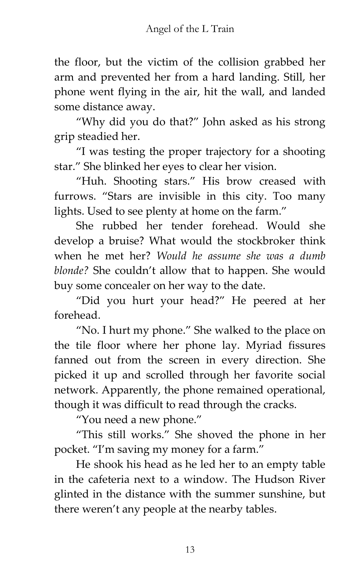the floor, but the victim of the collision grabbed her arm and prevented her from a hard landing. Still, her phone went flying in the air, hit the wall, and landed some distance away.

'Why did you do that?' John asked as his strong grip steadied her.

'I was testing the proper trajectory for a shooting star.' She blinked her eyes to clear her vision.

'Huh. Shooting stars.' His brow creased with furrows. 'Stars are invisible in this city. Too many lights. Used to see plenty at home on the farm.'

She rubbed her tender forehead. Would she develop a bruise? What would the stockbroker think when he met her? *Would he assume she was a dumb blonde?* She couldn't allow that to happen. She would buy some concealer on her way to the date.

'Did you hurt your head?' He peered at her forehead.

'No. I hurt my phone.' She walked to the place on the tile floor where her phone lay. Myriad fissures fanned out from the screen in every direction. She picked it up and scrolled through her favorite social network. Apparently, the phone remained operational, though it was difficult to read through the cracks.

'You need a new phone.'

'This still works.' She shoved the phone in her pocket. 'I'm saving my money for a farm.'

He shook his head as he led her to an empty table in the cafeteria next to a window. The Hudson River glinted in the distance with the summer sunshine, but there weren't any people at the nearby tables.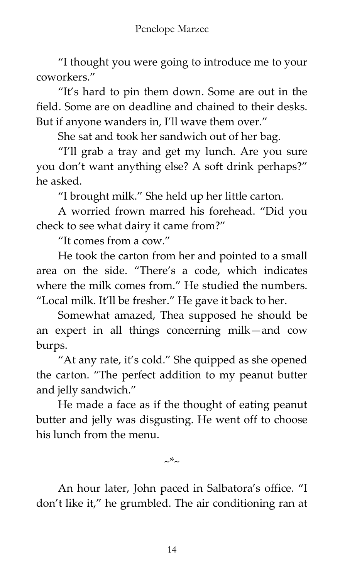'I thought you were going to introduce me to your coworkers.'

'It's hard to pin them down. Some are out in the field. Some are on deadline and chained to their desks. But if anyone wanders in, I'll wave them over."

She sat and took her sandwich out of her bag.

'I'll grab a tray and get my lunch. Are you sure you don't want anything else? A soft drink perhaps?' he asked.

'I brought milk.' She held up her little carton.

A worried frown marred his forehead. 'Did you check to see what dairy it came from?'

'It comes from a cow.'

He took the carton from her and pointed to a small area on the side. 'There's a code, which indicates where the milk comes from." He studied the numbers. 'Local milk. It'll be fresher.' He gave it back to her.

Somewhat amazed, Thea supposed he should be an expert in all things concerning milk—and cow burps.

'At any rate, it's cold.' She quipped as she opened the carton. 'The perfect addition to my peanut butter and jelly sandwich.'

He made a face as if the thought of eating peanut butter and jelly was disgusting. He went off to choose his lunch from the menu.

 $\sim^*$ ~

An hour later, John paced in Salbatora's office. 'I don't like it,' he grumbled. The air conditioning ran at